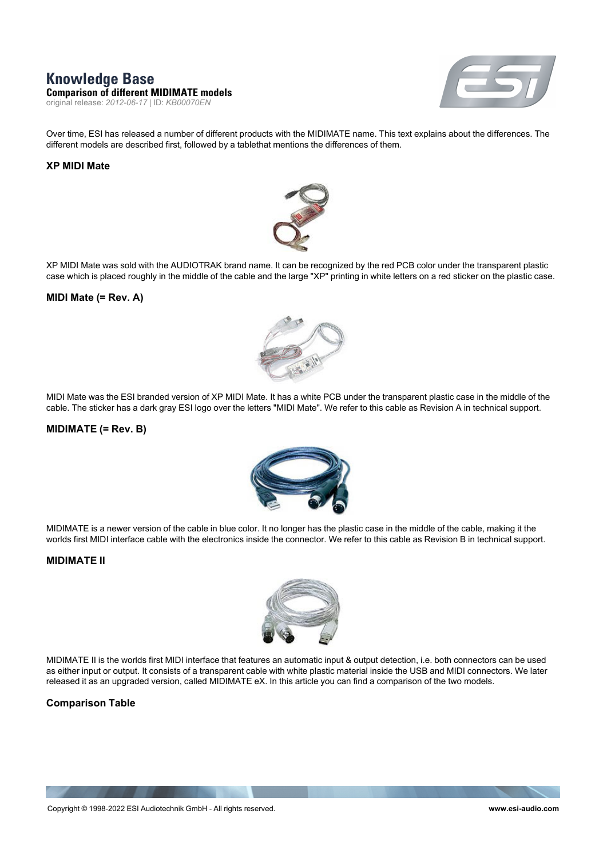# **Knowledge Base**

**Comparison of different MIDIMATE models** original release: *2012-06-17* | ID: *KB00070EN*



Over time, ESI has released a number of different products with the MIDIMATE name. This text explains about the differences. The different models are described first, followed by a tablethat mentions the differences of them.

## **XP MIDI Mate**

XP MIDI Mate was sold with the AUDIOTRAK brand name. It can be recognized by the red PCB color under the transparent plastic case which is placed roughly in the middle of the cable and the large "XP" printing in white letters on a red sticker on the plastic case.

#### **MIDI Mate (= Rev. A)**

MIDI Mate was the ESI branded version of XP MIDI Mate. It has a white PCB under the transparent plastic case in the middle of the cable. The sticker has a dark gray ESI logo over the letters "MIDI Mate". We refer to this cable as Revision A in technical support.

### **MIDIMATE (= Rev. B)**

MIDIMATE is a newer version of the cable in blue color. It no longer has the plastic case in the middle of the cable, making it the worlds first MIDI interface cable with the electronics inside the connector. We refer to this cable as Revision B in technical support.

#### **MIDIMATE II**



MIDIMATE II is the worlds first MIDI interface that features an automatic input & output detection, i.e. both connectors can be used as either input or output. It consists of a transparent cable with white plastic material inside the USB and MIDI connectors. We later released it as an upgraded version, called MIDIMATE eX. In this article you can find a comparison of the two models.

### **Comparison Table**